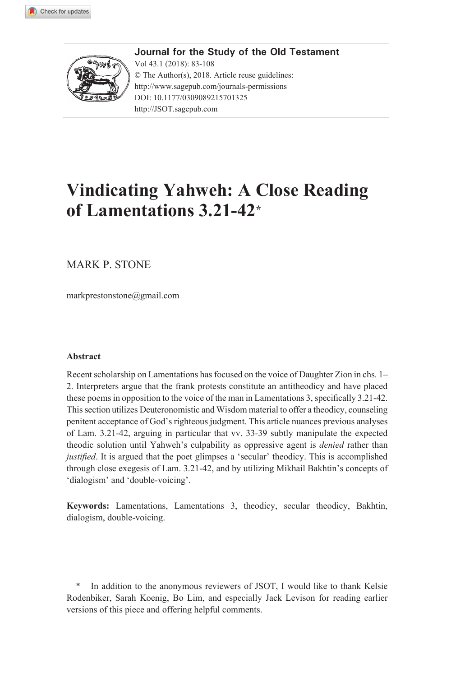

Journal for the Study of the Old Testament Vol 43.1 (2018): 83-108 © The Author(s), 2018. Article reuse guidelines: http://www.sagepub.com/journals-permissions DOI: 10.1177/0309089215701325 http://JSOT.sagepub.com

# **Vindicating Yahweh: A Close Reading** of Lamentations 3.21-42<sup>\*</sup>

**MARK P. STONE** 

markprestonstone@gmail.com

#### **Abstract**

Recent scholarship on Lamentations has focused on the voice of Daughter Zion in chs. 1– 2. Interpreters argue that the frank protests constitute an antitheodicy and have placed these poems in opposition to the voice of the man in Lamentations 3, specifically 3.21-42. This section utilizes Deuteronomistic and Wisdom material to offer a theodicy, counseling penitent acceptance of God's righteous judgment. This article nuances previous analyses of Lam. 3.21-42, arguing in particular that vv. 33-39 subtly manipulate the expected theodic solution until Yahweh's culpability as oppressive agent is *denied* rather than *justified*. It is argued that the poet glimpses a 'secular' theodicy. This is accomplished through close exegesis of Lam. 3.21-42, and by utilizing Mikhail Bakhtin's concepts of 'dialogism' and 'double-voicing'.

Keywords: Lamentations, Lamentations 3, theodicy, secular theodicy, Bakhtin, dialogism, double-voicing.

In addition to the anonymous reviewers of JSOT, I would like to thank Kelsie Rodenbiker, Sarah Koenig, Bo Lim, and especially Jack Levison for reading earlier versions of this piece and offering helpful comments.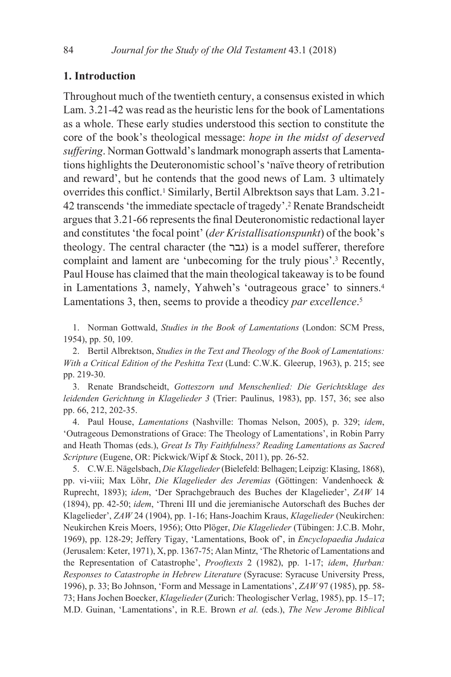# 1. Introduction

Throughout much of the twentieth century, a consensus existed in which Lam, 3.21-42 was read as the heuristic lens for the book of Lamentations as a whole. These early studies understood this section to constitute the core of the book's theological message: hope in the midst of deserved suffering. Norman Gottwald's landmark monograph asserts that Lamentations highlights the Deuteronomistic school's 'naïve theory of retribution and reward', but he contends that the good news of Lam. 3 ultimately overrides this conflict.<sup>1</sup> Similarly, Bertil Albrektson says that Lam. 3.21-42 transcends 'the immediate spectacle of tragedy'.<sup>2</sup> Renate Brandscheidt argues that 3.21-66 represents the final Deuteronomistic redactional layer and constitutes 'the focal point' (der Kristallisationspunkt) of the book's theology. The central character (the גבר) is a model sufferer, therefore complaint and lament are 'unbecoming for the truly pious'.<sup>3</sup> Recently, Paul House has claimed that the main theological takeaway is to be found in Lamentations 3, namely, Yahweh's 'outrageous grace' to sinners.<sup>4</sup> Lamentations 3, then, seems to provide a theodicy par excellence.<sup>5</sup>

1. Norman Gottwald, Studies in the Book of Lamentations (London: SCM Press, 1954), pp. 50, 109.

2. Bertil Albrektson, Studies in the Text and Theology of the Book of Lamentations: With a Critical Edition of the Peshitta Text (Lund: C.W.K. Gleerup, 1963), p. 215; see pp. 219-30.

3. Renate Brandscheidt, Gotteszorn und Menschenlied: Die Gerichtsklage des leidenden Gerichtung in Klagelieder 3 (Trier: Paulinus, 1983), pp. 157, 36; see also pp. 66, 212, 202-35.

4. Paul House, Lamentations (Nashville: Thomas Nelson, 2005), p. 329; idem, 'Outrageous Demonstrations of Grace: The Theology of Lamentations', in Robin Parry and Heath Thomas (eds.), Great Is Thy Faithfulness? Reading Lamentations as Sacred Scripture (Eugene, OR: Pickwick/Wipf & Stock, 2011), pp. 26-52.

5. C.W.E. Nägelsbach, Die Klagelieder (Bielefeld: Belhagen; Leipzig: Klasing, 1868), pp. vi-viii; Max Löhr, Die Klagelieder des Jeremias (Göttingen: Vandenhoeck & Ruprecht, 1893); idem, 'Der Sprachgebrauch des Buches der Klagelieder', ZAW 14 (1894), pp. 42-50; idem, 'Threni III und die jeremianische Autorschaft des Buches der Klagelieder', ZAW 24 (1904), pp. 1-16; Hans-Joachim Kraus, Klagelieder (Neukirchen: Neukirchen Kreis Moers, 1956); Otto Plöger, Die Klagelieder (Tübingen: J.C.B. Mohr, 1969), pp. 128-29; Jeffery Tigay, 'Lamentations, Book of', in Encyclopaedia Judaica (Jerusalem: Keter, 1971), X, pp. 1367-75; Alan Mintz, 'The Rhetoric of Lamentations and the Representation of Catastrophe', Prooftexts 2 (1982), pp. 1-17; idem, Hurban: Responses to Catastrophe in Hebrew Literature (Syracuse: Syracuse University Press, 1996), p. 33; Bo Johnson, 'Form and Message in Lamentations', ZAW 97 (1985), pp. 58-73; Hans Jochen Boecker, Klagelieder (Zurich: Theologischer Verlag, 1985), pp. 15-17; M.D. Guinan, 'Lamentations', in R.E. Brown et al. (eds.), The New Jerome Biblical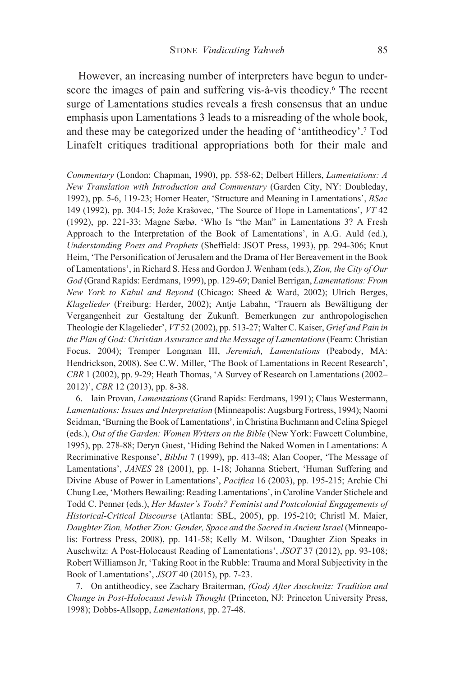However, an increasing number of interpreters have begun to underscore the images of pain and suffering vis-à-vis theodicy.<sup>6</sup> The recent surge of Lamentations studies reveals a fresh consensus that an undue emphasis upon Lamentations 3 leads to a misreading of the whole book, and these may be categorized under the heading of 'antitheodicy'.<sup>7</sup> Tod Linafelt critiques traditional appropriations both for their male and

Commentary (London: Chapman, 1990), pp. 558-62; Delbert Hillers, Lamentations: A New Translation with Introduction and Commentary (Garden City, NY: Doubleday, 1992), pp. 5-6, 119-23; Homer Heater, 'Structure and Meaning in Lamentations', BSac 149 (1992), pp. 304-15; Jože Krašovec, 'The Source of Hope in Lamentations', VT 42 (1992), pp. 221-33; Magne Sæbø, 'Who Is "the Man" in Lamentations 3? A Fresh Approach to the Interpretation of the Book of Lamentations', in A.G. Auld (ed.), Understanding Poets and Prophets (Sheffield: JSOT Press, 1993), pp. 294-306; Knut Heim, 'The Personification of Jerusalem and the Drama of Her Bereavement in the Book of Lamentations', in Richard S. Hess and Gordon J. Wenham (eds.), Zion, the City of Our God (Grand Rapids: Eerdmans, 1999), pp. 129-69; Daniel Berrigan, Lamentations: From New York to Kabul and Beyond (Chicago: Sheed & Ward, 2002); Ulrich Berges, Klagelieder (Freiburg: Herder, 2002); Antje Labahn, 'Trauern als Bewältigung der Vergangenheit zur Gestaltung der Zukunft. Bemerkungen zur anthropologischen Theologie der Klagelieder', VT52 (2002), pp. 513-27; Walter C. Kaiser, Grief and Pain in the Plan of God: Christian Assurance and the Message of Lamentations (Fearn: Christian Focus, 2004); Tremper Longman III, Jeremiah, Lamentations (Peabody, MA: Hendrickson, 2008). See C.W. Miller, 'The Book of Lamentations in Recent Research', CBR 1 (2002), pp. 9-29; Heath Thomas, 'A Survey of Research on Lamentations (2002-2012)', CBR 12 (2013), pp. 8-38.

6. Iain Provan, *Lamentations* (Grand Rapids: Eerdmans, 1991); Claus Westermann, Lamentations: Issues and Interpretation (Minneapolis: Augsburg Fortress, 1994); Naomi Seidman, 'Burning the Book of Lamentations', in Christina Buchmann and Celina Spiegel (eds.), Out of the Garden: Women Writers on the Bible (New York: Fawcett Columbine, 1995), pp. 278-88; Deryn Guest, 'Hiding Behind the Naked Women in Lamentations: A Recriminative Response', BibInt 7 (1999), pp. 413-48; Alan Cooper, 'The Message of Lamentations', JANES 28 (2001), pp. 1-18; Johanna Stiebert, 'Human Suffering and Divine Abuse of Power in Lamentations', Pacifica 16 (2003), pp. 195-215; Archie Chi Chung Lee, 'Mothers Bewailing: Reading Lamentations', in Caroline Vander Stichele and Todd C. Penner (eds.), Her Master's Tools? Feminist and Postcolonial Engagements of Historical-Critical Discourse (Atlanta: SBL, 2005), pp. 195-210; Christl M. Maier, Daughter Zion, Mother Zion: Gender, Space and the Sacred in Ancient Israel (Minneapolis: Fortress Press, 2008), pp. 141-58; Kelly M. Wilson, 'Daughter Zion Speaks in Auschwitz: A Post-Holocaust Reading of Lamentations', JSOT 37 (2012), pp. 93-108; Robert Williamson Jr, 'Taking Root in the Rubble: Trauma and Moral Subjectivity in the Book of Lamentations', JSOT 40 (2015), pp. 7-23.

7. On antitheodicy, see Zachary Braiterman, (God) After Auschwitz: Tradition and Change in Post-Holocaust Jewish Thought (Princeton, NJ: Princeton University Press, 1998); Dobbs-Allsopp, Lamentations, pp. 27-48.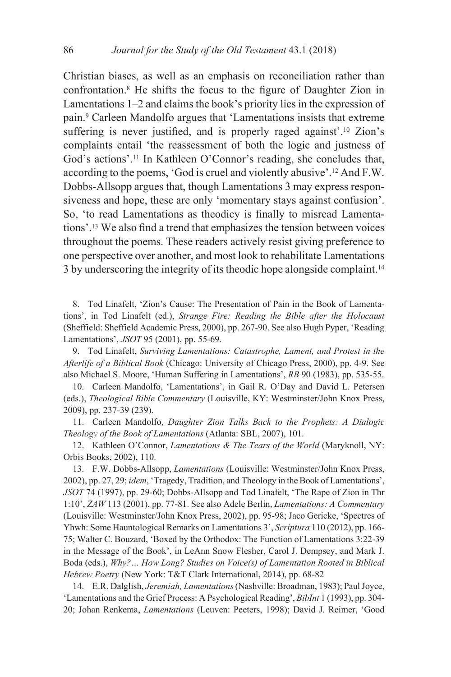Christian biases, as well as an emphasis on reconciliation rather than confrontation.<sup>8</sup> He shifts the focus to the figure of Daughter Zion in Lamentations  $1-2$  and claims the book's priority lies in the expression of pain.<sup>9</sup> Carleen Mandolfo argues that 'Lamentations insists that extreme suffering is never justified, and is properly raged against'.<sup>10</sup> Zion's complaints entail 'the reassessment of both the logic and justness of God's actions'.<sup>11</sup> In Kathleen O'Connor's reading, she concludes that, according to the poems, 'God is cruel and violently abusive'.<sup>12</sup> And F.W. Dobbs-Allsopp argues that, though Lamentations 3 may express responsiveness and hope, these are only 'momentary stays against confusion'. So, 'to read Lamentations as theodicy is finally to misread Lamentations'.<sup>13</sup> We also find a trend that emphasizes the tension between voices throughout the poems. These readers actively resist giving preference to one perspective over another, and most look to rehabilitate Lamentations 3 by underscoring the integrity of its theodic hope alongside complaint.<sup>14</sup>

8. Tod Linafelt, 'Zion's Cause: The Presentation of Pain in the Book of Lamentations', in Tod Linafelt (ed.), Strange Fire: Reading the Bible after the Holocaust (Sheffield: Sheffield Academic Press, 2000), pp. 267-90. See also Hugh Pyper, 'Reading Lamentations', JSOT 95 (2001), pp. 55-69.

9. Tod Linafelt, Surviving Lamentations: Catastrophe, Lament, and Protest in the Afterlife of a Biblical Book (Chicago: University of Chicago Press, 2000), pp. 4-9. See also Michael S. Moore, 'Human Suffering in Lamentations', RB 90 (1983), pp. 535-55.

10. Carleen Mandolfo, 'Lamentations', in Gail R. O'Day and David L. Petersen (eds.), Theological Bible Commentary (Louisville, KY: Westminster/John Knox Press, 2009), pp. 237-39 (239).

11. Carleen Mandolfo, Daughter Zion Talks Back to the Prophets: A Dialogic Theology of the Book of Lamentations (Atlanta: SBL, 2007), 101.

12. Kathleen O'Connor, Lamentations & The Tears of the World (Maryknoll, NY: Orbis Books, 2002), 110.

13. F.W. Dobbs-Allsopp, Lamentations (Louisville: Westminster/John Knox Press, 2002), pp. 27, 29; idem, 'Tragedy, Tradition, and Theology in the Book of Lamentations', JSOT 74 (1997), pp. 29-60; Dobbs-Allsopp and Tod Linafelt, 'The Rape of Zion in Thr 1:10', ZAW 113 (2001), pp. 77-81. See also Adele Berlin, Lamentations: A Commentary (Louisville: Westminster/John Knox Press, 2002), pp. 95-98; Jaco Gericke, 'Spectres of Yhwh: Some Hauntological Remarks on Lamentations 3', Scriptura 110 (2012), pp. 166-75; Walter C. Bouzard, 'Boxed by the Orthodox: The Function of Lamentations 3:22-39 in the Message of the Book', in LeAnn Snow Flesher, Carol J. Dempsey, and Mark J. Boda (eds.), Why? ... How Long? Studies on Voice(s) of Lamentation Rooted in Biblical Hebrew Poetry (New York: T&T Clark International, 2014), pp. 68-82

14. E.R. Dalglish, Jeremiah, Lamentations (Nashville: Broadman, 1983); Paul Joyce, 'Lamentations and the Grief Process: A Psychological Reading', BibInt 1 (1993), pp. 304-20; Johan Renkema, Lamentations (Leuven: Peeters, 1998); David J. Reimer, 'Good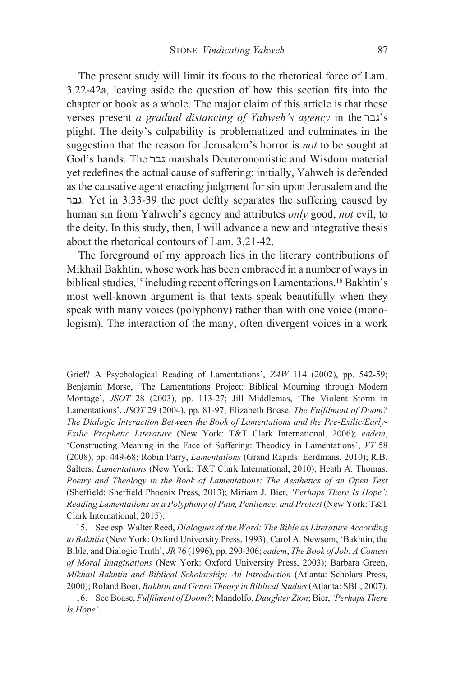The present study will limit its focus to the rhetorical force of Lam. 3.22-42a, leaving aside the question of how this section fits into the chapter or book as a whole. The major claim of this article is that these verses present a gradual distancing of Yahweh's agency in the "גבר plight. The deity's culpability is problematized and culminates in the suggestion that the reason for Jerusalem's horror is *not* to be sought at God's hands. The גבר marshals Deuteronomistic and Wisdom material yet redefines the actual cause of suffering: initially, Yahweh is defended as the causative agent enacting judgment for sin upon Jerusalem and the גבר. Yet in 3.33-39 the poet deftly separates the suffering caused by human sin from Yahweh's agency and attributes only good, not evil, to the deity. In this study, then, I will advance a new and integrative thesis about the rhetorical contours of Lam. 3.21-42.

The foreground of my approach lies in the literary contributions of Mikhail Bakhtin, whose work has been embraced in a number of ways in biblical studies,<sup>15</sup> including recent offerings on Lamentations.<sup>16</sup> Bakhtin's most well-known argument is that texts speak beautifully when they speak with many voices (polyphony) rather than with one voice (monologism). The interaction of the many, often divergent voices in a work

Grief? A Psychological Reading of Lamentations', ZAW 114 (2002), pp. 542-59; Benjamin Morse, 'The Lamentations Project: Biblical Mourning through Modern Montage', JSOT 28 (2003), pp. 113-27; Jill Middlemas, 'The Violent Storm in Lamentations', JSOT 29 (2004), pp. 81-97; Elizabeth Boase, The Fulfilment of Doom? The Dialogic Interaction Between the Book of Lamentations and the Pre-Exilic/Early-Exilic Prophetic Literature (New York: T&T Clark International, 2006); eadem, 'Constructing Meaning in the Face of Suffering: Theodicy in Lamentations', VT 58 (2008), pp. 449-68; Robin Parry, Lamentations (Grand Rapids: Eerdmans, 2010); R.B. Salters, Lamentations (New York: T&T Clark International, 2010); Heath A. Thomas, Poetry and Theology in the Book of Lamentations: The Aesthetics of an Open Text (Sheffield: Sheffield Phoenix Press, 2013); Miriam J. Bier, 'Perhaps There Is Hope': Reading Lamentations as a Polyphony of Pain, Penitence, and Protest (New York: T&T Clark International, 2015).

15. See esp. Walter Reed, Dialogues of the Word: The Bible as Literature According to Bakhtin (New York: Oxford University Press, 1993); Carol A. Newsom, 'Bakhtin, the Bible, and Dialogic Truth', JR 76 (1996), pp. 290-306; eadem, The Book of Job: A Contest of Moral Imaginations (New York: Oxford University Press, 2003); Barbara Green, Mikhail Bakhtin and Biblical Scholarship: An Introduction (Atlanta: Scholars Press, 2000); Roland Boer, Bakhtin and Genre Theory in Biblical Studies (Atlanta: SBL, 2007).

16. See Boase, Fulfilment of Doom?; Mandolfo, Daughter Zion; Bier, 'Perhaps There Is Hope'.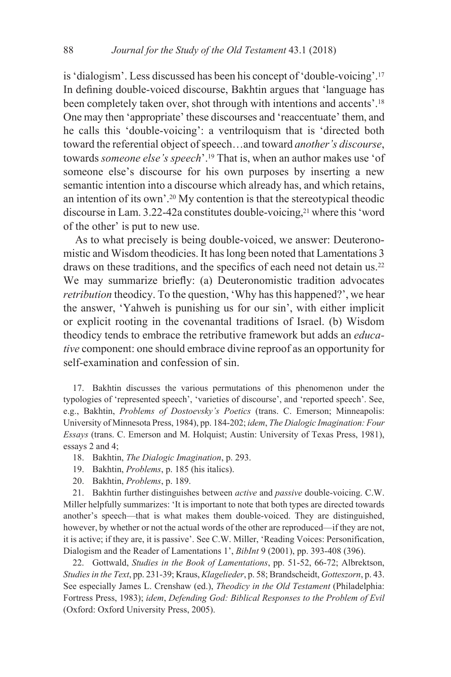is 'dialogism'. Less discussed has been his concept of 'double-voicing'.<sup>17</sup> In defining double-voiced discourse, Bakhtin argues that 'language has been completely taken over, shot through with intentions and accents'.<sup>18</sup> One may then 'appropriate' these discourses and 'reaccentuate' them, and he calls this 'double-voicing': a ventriloquism that is 'directed both toward the referential object of speech...and toward another's discourse, towards someone else's speech'.<sup>19</sup> That is, when an author makes use 'of someone else's discourse for his own purposes by inserting a new semantic intention into a discourse which already has, and which retains, an intention of its own'.<sup>20</sup> My contention is that the stereotypical theodic discourse in Lam. 3.22-42a constitutes double-voicing,<sup>21</sup> where this 'word of the other' is put to new use.

As to what precisely is being double-voiced, we answer: Deuteronomistic and Wisdom theodicies. It has long been noted that Lamentations 3 draws on these traditions, and the specifics of each need not detain us.<sup>22</sup> We may summarize briefly: (a) Deuteronomistic tradition advocates retribution theodicy. To the question, 'Why has this happened?', we hear the answer, 'Yahweh is punishing us for our sin', with either implicit or explicit rooting in the covenantal traditions of Israel. (b) Wisdom theodicy tends to embrace the retributive framework but adds an educa*tive* component: one should embrace divine reproof as an opportunity for self-examination and confession of sin.

17. Bakhtin discusses the various permutations of this phenomenon under the typologies of 'represented speech', 'varieties of discourse', and 'reported speech'. See, e.g., Bakhtin, Problems of Dostoevsky's Poetics (trans. C. Emerson; Minneapolis: University of Minnesota Press, 1984), pp. 184-202; idem, The Dialogic Imagination: Four Essays (trans. C. Emerson and M. Holquist; Austin: University of Texas Press, 1981), essays 2 and 4;

- 18. Bakhtin, The Dialogic Imagination, p. 293.
- 19. Bakhtin, *Problems*, p. 185 (his italics).
- 20. Bakhtin, Problems, p. 189.

21. Bakhtin further distinguishes between *active* and *passive* double-voicing. C.W. Miller helpfully summarizes: 'It is important to note that both types are directed towards another's speech—that is what makes them double-voiced. They are distinguished, however, by whether or not the actual words of the other are reproduced—if they are not, it is active; if they are, it is passive'. See C.W. Miller, 'Reading Voices: Personification, Dialogism and the Reader of Lamentations 1', BibInt 9 (2001), pp. 393-408 (396).

22. Gottwald, Studies in the Book of Lamentations, pp. 51-52, 66-72; Albrektson, Studies in the Text, pp. 231-39; Kraus, Klagelieder, p. 58; Brandscheidt, Gotteszorn, p. 43. See especially James L. Crenshaw (ed.), Theodicy in the Old Testament (Philadelphia: Fortress Press, 1983); idem, Defending God: Biblical Responses to the Problem of Evil (Oxford: Oxford University Press, 2005).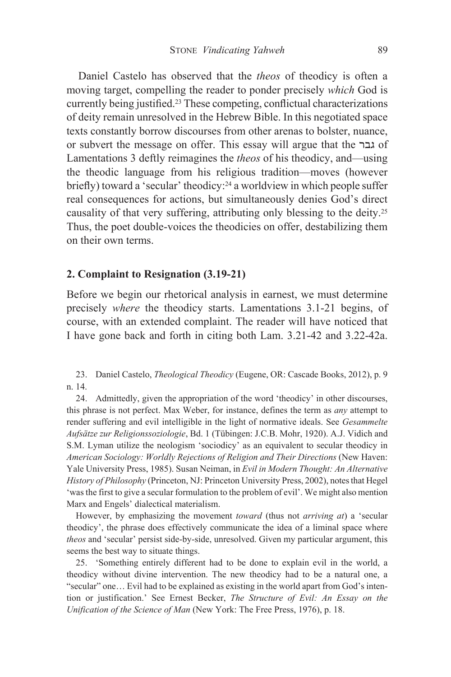Daniel Castelo has observed that the *theos* of theodicy is often a moving target, compelling the reader to ponder precisely which God is currently being justified.<sup>23</sup> These competing, conflictual characterizations of deity remain unresolved in the Hebrew Bible. In this negotiated space texts constantly borrow discourses from other arenas to bolster, nuance, or subvert the message on offer. This essay will argue that the גבר Lamentations 3 deftly reimagines the *theos* of his theodicy, and—using the theodic language from his religious tradition—moves (however briefly) toward a 'secular' theodicy:<sup>24</sup> a worldview in which people suffer real consequences for actions, but simultaneously denies God's direct causality of that very suffering, attributing only blessing to the deity.<sup>25</sup> Thus, the poet double-voices the theodicies on offer, destabilizing them on their own terms.

#### 2. Complaint to Resignation (3.19-21)

Before we begin our rhetorical analysis in earnest, we must determine precisely where the theodicy starts. Lamentations 3.1-21 begins, of course, with an extended complaint. The reader will have noticed that I have gone back and forth in citing both Lam. 3.21-42 and 3.22-42a.

23. Daniel Castelo, Theological Theodicy (Eugene, OR: Cascade Books, 2012), p. 9 n. 14.

24. Admittedly, given the appropriation of the word 'theodicy' in other discourses, this phrase is not perfect. Max Weber, for instance, defines the term as any attempt to render suffering and evil intelligible in the light of normative ideals. See Gesammelte Aufsätze zur Religionssoziologie, Bd. 1 (Tübingen: J.C.B. Mohr, 1920). A.J. Vidich and S.M. Lyman utilize the neologism 'sociodicy' as an equivalent to secular theodicy in American Sociology: Worldly Rejections of Religion and Their Directions (New Haven: Yale University Press, 1985). Susan Neiman, in Evil in Modern Thought: An Alternative History of Philosophy (Princeton, NJ: Princeton University Press, 2002), notes that Hegel 'was the first to give a secular formulation to the problem of evil'. We might also mention Marx and Engels' dialectical materialism.

However, by emphasizing the movement *toward* (thus not *arriving at*) a 'secular theodicy', the phrase does effectively communicate the idea of a liminal space where theos and 'secular' persist side-by-side, unresolved. Given my particular argument, this seems the best way to situate things.

25. 'Something entirely different had to be done to explain evil in the world, a theodicy without divine intervention. The new theodicy had to be a natural one, a "secular" one... Evil had to be explained as existing in the world apart from God's intention or justification.' See Ernest Becker, The Structure of Evil: An Essay on the Unification of the Science of Man (New York: The Free Press, 1976), p. 18.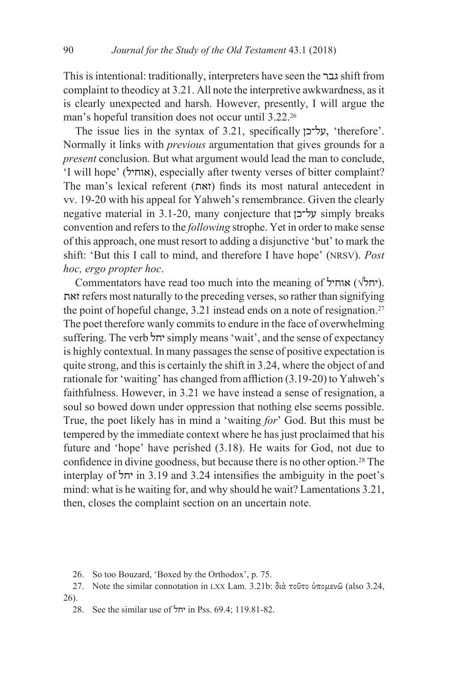This is intentional: traditionally, interpreters have seen the גבר shift from complaint to theodicy at 3.21. All note the interpretive awkwardness, as it is clearly unexpected and harsh. However, presently, I will argue the man's hopeful transition does not occur until 3.22.<sup>26</sup>

The issue lies in the syntax of 3.21, specifically  $y^2$ , 'therefore'. Normally it links with *previous* argumentation that gives grounds for a present conclusion. But what argument would lead the man to conclude, 'I will hope' (אוחיל), especially after twenty verses of bitter complaint? The man's lexical referent (זאת) finds its most natural antecedent in vv. 19-20 with his appeal for Yahweh's remembrance. Given the clearly negative material in 3.1-20, many conjecture that על־כן simply breaks convention and refers to the *following* strophe. Yet in order to make sense of this approach, one must resort to adding a disjunctive 'but' to mark the shift: 'But this I call to mind, and therefore I have hope' (NRSV). Post hoc, ergo propter hoc.

Commentators have read too much into the meaning of  $\forall$ יחל $\forall$ ). זאת refers most naturally to the preceding verses, so rather than signifying the point of hopeful change, 3.21 instead ends on a note of resignation.<sup>27</sup> The poet therefore wanly commits to endure in the face of overwhelming suffering. The verb 'r simply means 'wait', and the sense of expectancy is highly contextual. In many passages the sense of positive expectation is quite strong, and this is certainly the shift in 3.24, where the object of and rationale for 'waiting' has changed from affliction (3.19-20) to Yahweh's faithfulness. However, in 3.21 we have instead a sense of resignation, a soul so bowed down under oppression that nothing else seems possible. True, the poet likely has in mind a 'waiting for' God. But this must be tempered by the immediate context where he has just proclaimed that his future and 'hope' have perished (3.18). He waits for God, not due to confidence in divine goodness, but because there is no other option.<sup>28</sup> The interplay of 'in 3.19 and 3.24 intensifies the ambiguity in the poet's mind: what is he waiting for, and why should he wait? Lamentations 3.21, then, closes the complaint section on an uncertain note.

26. So too Bouzard, 'Boxed by the Orthodox', p. 75.

27. Note the similar connotation in LXX Lam. 3.21b: διά τοῦτο ὑπομενῶ (also 3.24,  $26$ ).

28. See the similar use of 'חל in Pss. 69.4: 119.81-82.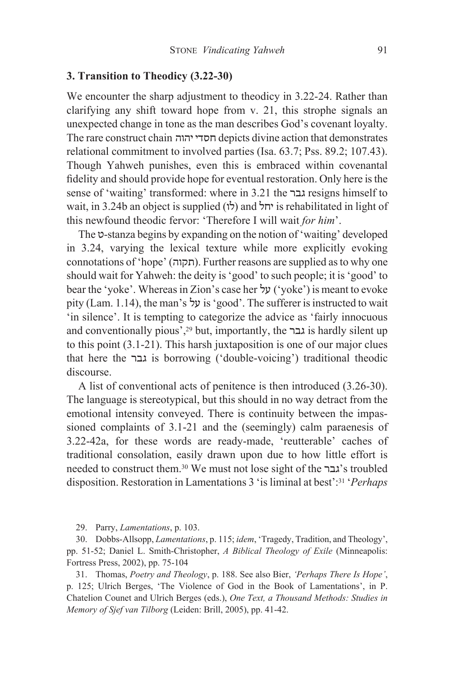#### 3. Transition to Theodicy (3.22-30)

We encounter the sharp adjustment to theodicy in 3.22-24. Rather than clarifying any shift toward hope from v. 21, this strophe signals an unexpected change in tone as the man describes God's covenant loyalty. The rare construct chain חסדי יהוה depicts divine action that demonstrates relational commitment to involved parties (Isa. 63.7; Pss. 89.2; 107.43). Though Yahweh punishes, even this is embraced within covenantal fidelity and should provide hope for eventual restoration. Only here is the sense of 'waiting' transformed: where in 3.21 the גבר resigns himself to wait, in 3.24b an object is supplied (לו) and יחל is rehabilitated in light of this newfound theodic fervor: 'Therefore I will wait for him'.

The v-stanza begins by expanding on the notion of 'waiting' developed in 3.24, varying the lexical texture while more explicitly evoking connotations of 'hope' (תקוה). Further reasons are supplied as to why one should wait for Yahweh: the deity is 'good' to such people; it is 'good' to bear the 'yoke'. Whereas in Zion's case her 'yoke') is meant to evoke pity (Lam. 1.14), the man's  $y$  is 'good'. The sufferer is instructed to wait 'in silence'. It is tempting to categorize the advice as 'fairly innocuous' and conventionally pious',<sup>29</sup> but, importantly, the גבר is hardly silent up to this point  $(3.1-21)$ . This harsh juxtaposition is one of our major clues that here the *is* borrowing ('double-voicing') traditional theodic discourse.

A list of conventional acts of penitence is then introduced (3.26-30). The language is stereotypical, but this should in no way detract from the emotional intensity conveyed. There is continuity between the impassioned complaints of 3.1-21 and the (seemingly) calm paraenesis of 3.22-42a, for these words are ready-made, 'reutterable' caches of traditional consolation, easily drawn upon due to how little effort is needed to construct them.<sup>30</sup> We must not lose sight of the "גבר" stroubled disposition. Restoration in Lamentations 3 'is liminal at best':<sup>31</sup> 'Perhaps'

29. Parry, Lamentations, p. 103.

30. Dobbs-Allsopp, Lamentations, p. 115; idem, 'Tragedy, Tradition, and Theology', pp. 51-52; Daniel L. Smith-Christopher, A Biblical Theology of Exile (Minneapolis: Fortress Press, 2002), pp. 75-104

31. Thomas, Poetry and Theology, p. 188. See also Bier, 'Perhaps There Is Hope', p. 125; Ulrich Berges, 'The Violence of God in the Book of Lamentations', in P. Chatelion Counet and Ulrich Berges (eds.), One Text, a Thousand Methods: Studies in Memory of Sjef van Tilborg (Leiden: Brill, 2005), pp. 41-42.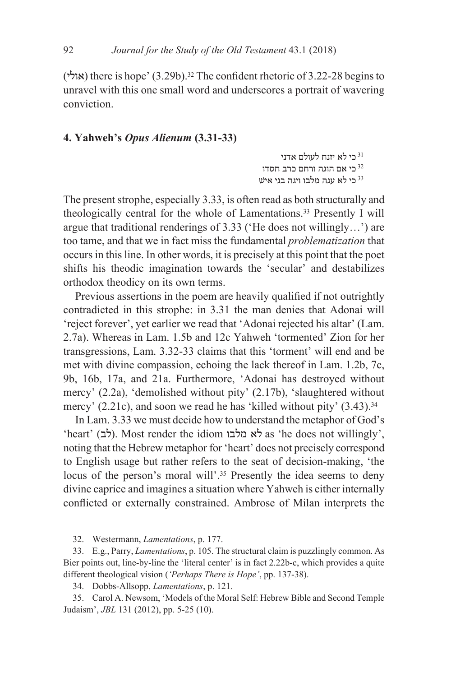(אולי) there is hope'  $(3.29b)$ .<sup>32</sup> The confident rhetoric of 3.22-28 begins to unravel with this one small word and underscores a portrait of wavering conviction.

# 4. Yahweh's Opus Alienum (3.31-33)

ינד לא נדני לעולם בי לא כי אם הוגה ורחם כרב חסדו $^{\rm 32}$ כי לא ענה מלבו ויגה בני איש  $^{33}$ 

The present strophe, especially 3.33, is often read as both structurally and theologically central for the whole of Lamentations.<sup>33</sup> Presently I will argue that traditional renderings of  $3.33$  ('He does not willingly...') are too tame, and that we in fact miss the fundamental *problematization* that occurs in this line. In other words, it is precisely at this point that the poet shifts his theodic imagination towards the 'secular' and destabilizes orthodox theodicy on its own terms.

Previous assertions in the poem are heavily qualified if not outrightly contradicted in this strophe: in 3.31 the man denies that Adonai will 'reject forever', yet earlier we read that 'Adonai rejected his altar' (Lam. 2.7a). Whereas in Lam. 1.5b and 12c Yahweh 'tormented' Zion for her transgressions, Lam. 3.32-33 claims that this 'torment' will end and be met with divine compassion, echoing the lack thereof in Lam. 1.2b, 7c, 9b, 16b, 17a, and 21a. Furthermore, 'Adonai has destroyed without mercy' (2.2a), 'demolished without pity' (2.17b), 'slaughtered without mercy' (2.21c), and soon we read he has 'killed without pity' (3.43).<sup>34</sup>

In Lam. 3.33 we must decide how to understand the metaphor of God's 'heart' (לב). Most render the idiom לא מלבו as 'he does not willingly'. noting that the Hebrew metaphor for 'heart' does not precisely correspond to English usage but rather refers to the seat of decision-making, 'the locus of the person's moral will'.<sup>35</sup> Presently the idea seems to deny divine caprice and imagines a situation where Yahweh is either internally conflicted or externally constrained. Ambrose of Milan interprets the

32. Westermann, Lamentations, p. 177.

33. E.g., Parry, *Lamentations*, p. 105. The structural claim is puzzlingly common. As Bier points out, line-by-line the 'literal center' is in fact 2.22b-c, which provides a quite different theological vision ('Perhaps There is Hope', pp. 137-38).

34. Dobbs-Allsopp, Lamentations, p. 121.

35. Carol A. Newsom, 'Models of the Moral Self: Hebrew Bible and Second Temple Judaism', *JBL* 131 (2012), pp. 5-25 (10).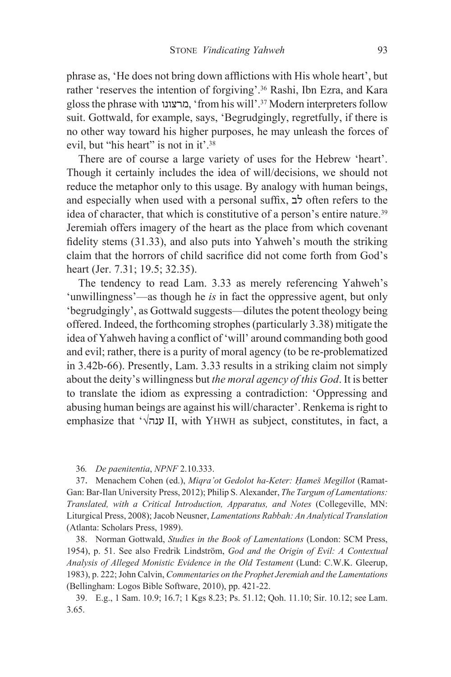phrase as, 'He does not bring down afflictions with His whole heart', but rather 'reserves the intention of forgiving'.<sup>36</sup> Rashi, Ibn Ezra, and Kara gloss the phrase with מרצונו, 'from his will'.<sup>37</sup> Modern interpreters follow suit. Gottwald, for example, says, 'Begrudgingly, regretfully, if there is no other way toward his higher purposes, he may unleash the forces of evil, but "his heart" is not in it'.<sup>38</sup>

There are of course a large variety of uses for the Hebrew 'heart'. Though it certainly includes the idea of will/decisions, we should not reduce the metaphor only to this usage. By analogy with human beings, and especially when used with a personal suffix,  $\sharp$  often refers to the idea of character, that which is constitutive of a person's entire nature.<sup>39</sup> Jeremiah offers imagery of the heart as the place from which covenant fidelity stems (31.33), and also puts into Yahweh's mouth the striking claim that the horrors of child sacrifice did not come forth from God's heart (Jer. 7.31; 19.5; 32.35).

The tendency to read Lam. 3.33 as merely referencing Yahweh's 'unwillingness'—as though he *is* in fact the oppressive agent, but only 'begrudgingly', as Gottwald suggests—dilutes the potent theology being offered. Indeed, the forthcoming strophes (particularly 3.38) mitigate the idea of Yahweh having a conflict of 'will' around commanding both good and evil; rather, there is a purity of moral agency (to be re-problematized in 3.42b-66). Presently, Lam. 3.33 results in a striking claim not simply about the deity's willingness but the moral agency of this God. It is better to translate the idiom as expressing a contradiction: 'Oppressing and abusing human beings are against his will/character'. Renkema is right to emphasize that ' $\sqrt{u}$ ענה $\sqrt{v}$  II, with YHWH as subject, constitutes, in fact, a

36. De paenitentia, NPNF 2.10.333.

37. Menachem Cohen (ed.), Migra'ot Gedolot ha-Keter: Hameš Megillot (Ramat-Gan: Bar-Ilan University Press, 2012); Philip S. Alexander, The Targum of Lamentations: Translated, with a Critical Introduction, Apparatus, and Notes (Collegeville, MN: Liturgical Press, 2008); Jacob Neusner, Lamentations Rabbah: An Analytical Translation (Atlanta: Scholars Press, 1989).

38. Norman Gottwald, Studies in the Book of Lamentations (London: SCM Press, 1954), p. 51. See also Fredrik Lindström, God and the Origin of Evil: A Contextual Analysis of Alleged Monistic Evidence in the Old Testament (Lund: C.W.K. Gleerup, 1983), p. 222; John Calvin, Commentaries on the Prophet Jeremiah and the Lamentations (Bellingham: Logos Bible Software, 2010), pp. 421-22.

39. E.g., 1 Sam. 10.9; 16.7; 1 Kgs 8.23; Ps. 51.12; Qoh. 11.10; Sir. 10.12; see Lam.  $3.65.$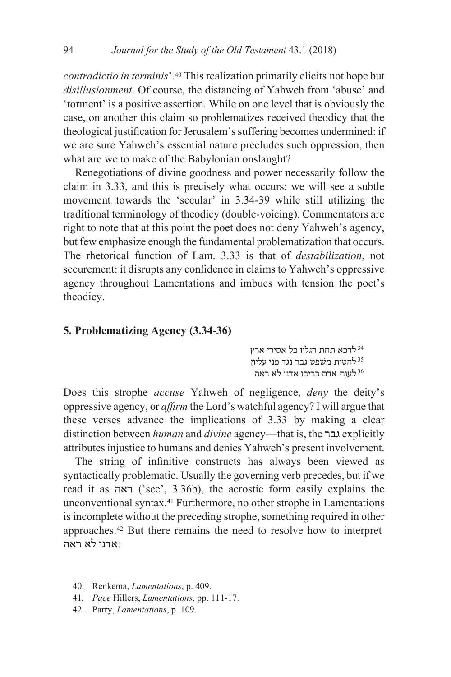*contradictio in terminis'*.<sup>40</sup> This realization primarily elicits not hope but disillusionment. Of course, the distancing of Yahweh from 'abuse' and 'torment' is a positive assertion. While on one level that is obviously the case, on another this claim so problematizes received theodicy that the theological justification for Jerusalem's suffering becomes undermined: if we are sure Yahweh's essential nature precludes such oppression, then what are we to make of the Babylonian onslaught?

Renegotiations of divine goodness and power necessarily follow the claim in 3.33, and this is precisely what occurs: we will see a subtle movement towards the 'secular' in 3.34-39 while still utilizing the traditional terminology of theodicy (double-voicing). Commentators are right to note that at this point the poet does not deny Yahweh's agency, but few emphasize enough the fundamental problematization that occurs. The rhetorical function of Lam. 3.33 is that of *destabilization*, not securement: it disrupts any confidence in claims to Yahweh's oppressive agency throughout Lamentations and imbues with tension the poet's theodicy.

# 5. Problematizing Agency (3.34-36)

<sup>34</sup> לדכא תחת רגליו כל אסירי ארץ <sup>35</sup> להטות משפט גבר נגד פני עליון לעות אדם בריבו אדני לא ראה  $^{36}$ 

Does this strophe *accuse* Yahweh of negligence, *deny* the deity's oppressive agency, or *affirm* the Lord's watchful agency? I will argue that these verses advance the implications of 3.33 by making a clear distinction between *human* and *divine* agency—that is, the texplicitly attributes injustice to humans and denies Yahweh's present involvement.

The string of infinitive constructs has always been viewed as syntactically problematic. Usually the governing verb precedes, but if we read it as ראה ('see', 3.36b), the acrostic form easily explains the unconventional syntax.<sup>41</sup> Furthermore, no other strophe in Lamentations is incomplete without the preceding strophe, something required in other approaches.<sup>42</sup> But there remains the need to resolve how to interpret אדוי לא ראה:

- 40. Renkema, Lamentations, p. 409.
- 41. Pace Hillers, Lamentations, pp. 111-17.
- 42. Parry, Lamentations, p. 109.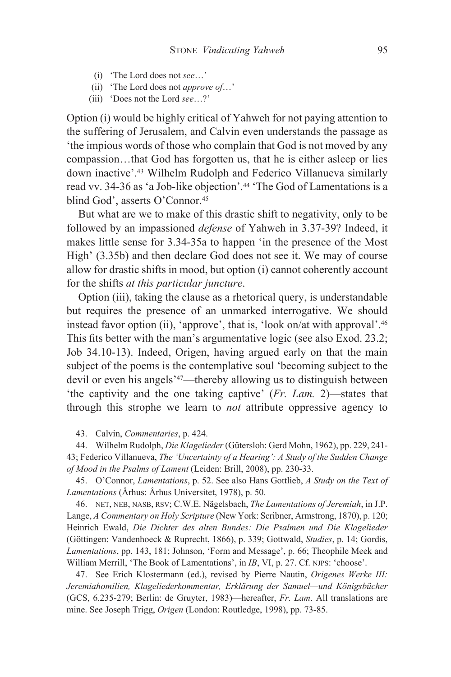- (i) The Lord does not see...'
- (ii) 'The Lord does not *approve of...*'
- (iii) 'Does not the Lord see...?'

Option (i) would be highly critical of Yahweh for not paying attention to the suffering of Jerusalem, and Calvin even understands the passage as 'the impious words of those who complain that God is not moved by any compassion...that God has forgotten us, that he is either asleep or lies down inactive'.<sup>43</sup> Wilhelm Rudolph and Federico Villanueva similarly read vv. 34-36 as 'a Job-like objection'.<sup>44</sup> 'The God of Lamentations is a blind God', asserts O'Connor.<sup>45</sup>

But what are we to make of this drastic shift to negativity, only to be followed by an impassioned *defense* of Yahweh in 3.37-39? Indeed, it makes little sense for 3.34-35a to happen 'in the presence of the Most High' (3.35b) and then declare God does not see it. We may of course allow for drastic shifts in mood, but option (i) cannot coherently account for the shifts at this particular juncture.

Option (iii), taking the clause as a rhetorical query, is understandable but requires the presence of an unmarked interrogative. We should instead favor option (ii), 'approve', that is, 'look on/at with approval'.<sup>46</sup> This fits better with the man's argumentative logic (see also Exod. 23.2; Job 34.10-13). Indeed, Origen, having argued early on that the main subject of the poems is the contemplative soul 'becoming subject to the devil or even his angels'<sup>47</sup>—thereby allowing us to distinguish between 'the captivity and the one taking captive' (Fr. Lam. 2)—states that through this strophe we learn to *not* attribute oppressive agency to

43. Calvin, Commentaries, p. 424.

44. Wilhelm Rudolph, Die Klagelieder (Gütersloh: Gerd Mohn, 1962), pp. 229, 241-43; Federico Villanueva, The 'Uncertainty of a Hearing': A Study of the Sudden Change of Mood in the Psalms of Lament (Leiden: Brill, 2008), pp. 230-33.

45. O'Connor, Lamentations, p. 52. See also Hans Gottlieb, A Study on the Text of Lamentations (Århus: Århus Universitet, 1978), p. 50.

46. NET, NEB, NASB, RSV; C.W.E. Nägelsbach, The Lamentations of Jeremiah, in J.P. Lange, A Commentary on Holy Scripture (New York: Scribner, Armstrong, 1870), p. 120; Heinrich Ewald, Die Dichter des alten Bundes: Die Psalmen und Die Klagelieder (Göttingen: Vandenhoeck & Ruprecht, 1866), p. 339; Gottwald, Studies, p. 14; Gordis, Lamentations, pp. 143, 181; Johnson, 'Form and Message', p. 66; Theophile Meek and William Merrill, 'The Book of Lamentations', in IB, VI, p. 27. Cf. NJPS: 'choose'.

47. See Erich Klostermann (ed.), revised by Pierre Nautin, Origenes Werke III: Jeremiahomilien, Klageliederkommentar, Erklärung der Samuel-und Königsbücher (GCS, 6.235-279; Berlin: de Gruyter, 1983)—hereafter, Fr. Lam. All translations are mine. See Joseph Trigg, Origen (London: Routledge, 1998), pp. 73-85.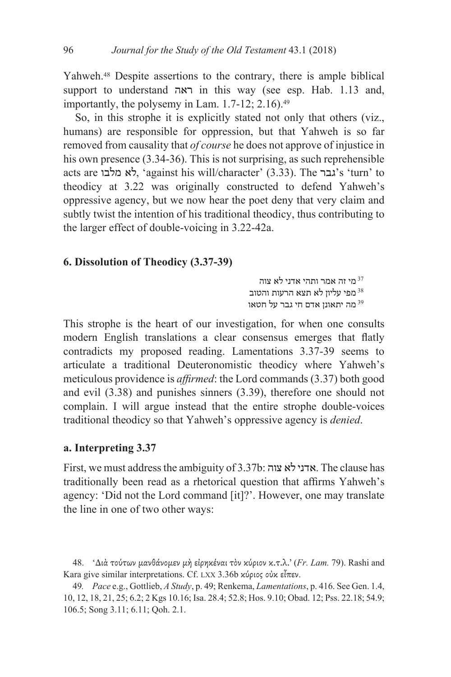Yahweh.<sup>48</sup> Despite assertions to the contrary, there is ample biblical support to understand  $\overline{X}$  in this way (see esp. Hab. 1.13 and, importantly, the polysemy in Lam.  $1.7-12$ ;  $2.16$ ).<sup>49</sup>

So, in this strophe it is explicitly stated not only that others (viz., humans) are responsible for oppression, but that Yahweh is so far removed from causality that *of course* he does not approve of injustice in his own presence  $(3.34-36)$ . This is not surprising, as such reprehensible acts are גבר against his will/character' (3.33). The גבר s 'turn' to theodicy at 3.22 was originally constructed to defend Yahweh's oppressive agency, but we now hear the poet deny that very claim and subtly twist the intention of his traditional theodicy, thus contributing to the larger effect of double-voicing in 3.22-42a.

## 6. Dissolution of Theodicy (3.37-39)

 ותהי אדני לא צוה  $^{37}$  מפי עליוז לא תצא הרעות והטוב מה יתאונן אדם חי גבר על חטאו  $^{39}$ 

This strophe is the heart of our investigation, for when one consults modern English translations a clear consensus emerges that flatly contradicts my proposed reading. Lamentations  $3.37-39$  seems to articulate a traditional Deuteronomistic theodicy where Yahweh's meticulous providence is *affirmed*: the Lord commands (3.37) both good and evil  $(3.38)$  and punishes sinners  $(3.39)$ , therefore one should not complain. I will argue instead that the entire strophe double-voices traditional theodicy so that Yahweh's oppressive agency is *denied*.

## a. Interpreting 3.37

First, we must address the ambiguity of  $3.37$ b: אדני לא צוה $\blacksquare$  . The clause has traditionally been read as a rhetorical question that affirms Yahweh's agency: 'Did not the Lord command [it]?'. However, one may translate the line in one of two other ways:

<sup>48. &#</sup>x27;Διά τούτων μανθάνομεν μή είρηκέναι τον κύριον κ.τ.λ.' (Fr. Lam. 79). Rashi and Kara give similar interpretations. Cf. LXX 3.36b κύριος οὐκ εἶπεν.

<sup>49.</sup> Pace e.g., Gottlieb, A Study, p. 49; Renkema, Lamentations, p. 416. See Gen. 1.4, 10, 12, 18, 21, 25; 6.2; 2 Kgs 10.16; Isa. 28.4; 52.8; Hos. 9.10; Obad. 12; Pss. 22.18; 54.9; 106.5; Song 3.11; 6.11; Qoh. 2.1.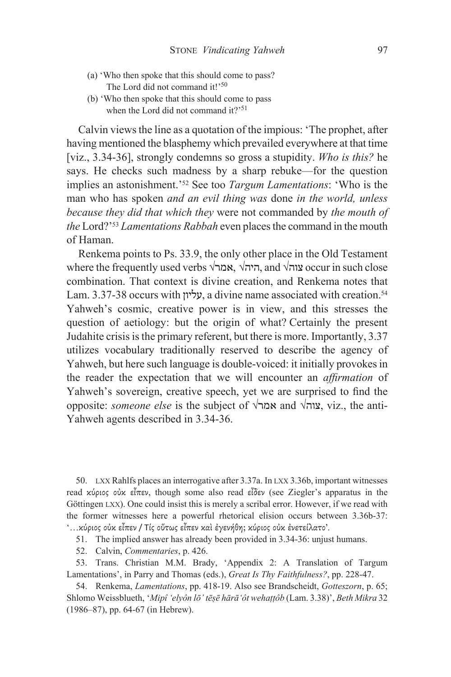- (a) 'Who then spoke that this should come to pass? The Lord did not command it!'50
- (b) 'Who then spoke that this should come to pass when the Lord did not command it?'<sup>51</sup>

Calvin views the line as a quotation of the impious: 'The prophet, after having mentioned the blasphemy which prevailed everywhere at that time [viz., 3.34-36], strongly condemns so gross a stupidity. Who is this? he says. He checks such madness by a sharp rebuke—for the question implies an astonishment.'<sup>52</sup> See too Targum Lamentations: 'Who is the man who has spoken *and an evil thing was done in the world*, *unless* because they did that which they were not commanded by the mouth of the Lord?'<sup>53</sup> Lamentations Rabbah even places the command in the mouth of Haman.

Renkema points to Ps. 33.9, the only other place in the Old Testament where the frequently used verbs  $\sqrt{2}$ , אמר $\sqrt{2}$ , and  $\sqrt{2}$  occur in such close combination. That context is divine creation, and Renkema notes that Lam. 3.37-38 occurs with (עליון, a divine name associated with creation.<sup>54</sup> Yahweh's cosmic, creative power is in view, and this stresses the question of aetiology: but the origin of what? Certainly the present Judahite crisis is the primary referent, but there is more. Importantly, 3.37 utilizes vocabulary traditionally reserved to describe the agency of Yahweh, but here such language is double-voiced: it initially provokes in the reader the expectation that we will encounter an *affirmation* of Yahweh's sovereign, creative speech, yet we are surprised to find the opposite: *someone else* is the subject of  $\sqrt{2}$  and  $\sqrt{2}$ , viz., the anti-Yahweh agents described in 3.34-36.

50. LXX Rahlfs places an interrogative after 3.37a. In LXX 3.36b, important witnesses read κύριος ούκ εἶπεν, though some also read εἶδεν (see Ziegler's apparatus in the Göttingen LXX). One could insist this is merely a scribal error. However, if we read with the former witnesses here a powerful rhetorical elision occurs between 3.36b-37: "... κύριος οὐκ εἶπεν / Τίς οὕτως εἶπεν καὶ ἐγενήθη; κύριος οὐκ ἐνετείλατο'.

- 51. The implied answer has already been provided in 3.34-36: unjust humans.
- 52. Calvin, Commentaries, p. 426.

53. Trans. Christian M.M. Brady, 'Appendix 2: A Translation of Targum Lamentations', in Parry and Thomas (eds.), Great Is Thy Faithfulness?, pp. 228-47.

54. Renkema, Lamentations, pp. 418-19. Also see Brandscheidt, Gotteszorn, p. 65; Shlomo Weissblueth, 'Mipî 'elyôn lō' tēşē hārā 'ôt wehaṭṭôb (Lam. 3.38)', Beth Mikra 32 (1986–87), pp. 64-67 (in Hebrew).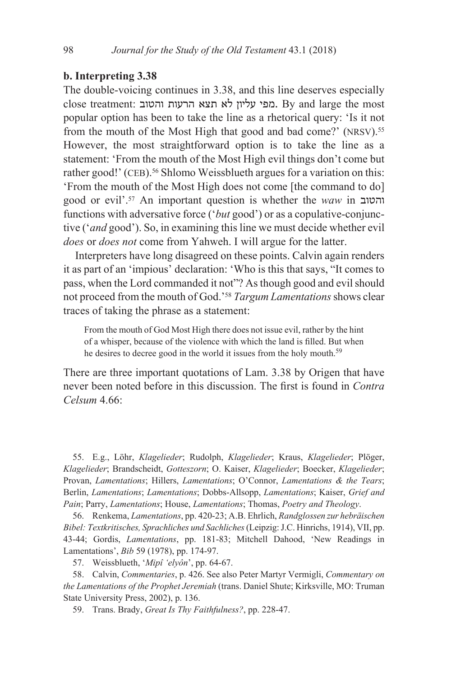# b. Interpreting 3.38

The double-voicing continues in 3.38, and this line deserves especially close treatment: מפי עליון לא תצא הרעות והטוב. By and large the most popular option has been to take the line as a rhetorical query: 'Is it not from the mouth of the Most High that good and bad come?' (NRSV).<sup>55</sup> However, the most straightforward option is to take the line as a statement: 'From the mouth of the Most High evil things don't come but rather good!' (CEB).<sup>56</sup> Shlomo Weissblueth argues for a variation on this: 'From the mouth of the Most High does not come [the command to do] good or evil'.<sup>57</sup> An important question is whether the waw in והטוב functions with adversative force ('but good') or as a copulative-conjunctive ('and good'). So, in examining this line we must decide whether evil does or does not come from Yahweh. I will argue for the latter.

Interpreters have long disagreed on these points. Calvin again renders it as part of an 'impious' declaration: 'Who is this that says, "It comes to pass, when the Lord commanded it not"? As though good and evil should not proceed from the mouth of God.'<sup>58</sup> Targum Lamentations shows clear traces of taking the phrase as a statement:

From the mouth of God Most High there does not issue evil, rather by the hint of a whisper, because of the violence with which the land is filled. But when he desires to decree good in the world it issues from the holy mouth.<sup>59</sup>

There are three important quotations of Lam. 3.38 by Origen that have never been noted before in this discussion. The first is found in *Contra*  $C$ elsum 4.66 $\cdot$ 

55. E.g., Löhr, Klagelieder; Rudolph, Klagelieder; Kraus, Klagelieder; Plöger, Klagelieder; Brandscheidt, Gotteszorn; O. Kaiser, Klagelieder; Boecker, Klagelieder; Provan, Lamentations; Hillers, Lamentations; O'Connor, Lamentations & the Tears; Berlin, Lamentations; Lamentations; Dobbs-Allsopp, Lamentations; Kaiser, Grief and Pain; Parry, Lamentations; House, Lamentations; Thomas, Poetry and Theology.

56. Renkema, Lamentations, pp. 420-23; A.B. Ehrlich, Randglossen zur hebräischen Bibel: Textkritisches, Sprachliches und Sachliches (Leipzig: J.C. Hinrichs, 1914), VII, pp. 43-44; Gordis, Lamentations, pp. 181-83; Mitchell Dahood, 'New Readings in Lamentations', Bib 59 (1978), pp. 174-97.

57. Weissblueth, 'Mipî 'elyôn', pp. 64-67.

58. Calvin, Commentaries, p. 426. See also Peter Martyr Vermigli, Commentary on the Lamentations of the Prophet Jeremiah (trans. Daniel Shute; Kirksville, MO: Truman State University Press, 2002), p. 136.

59. Trans. Brady, Great Is Thy Faithfulness?, pp. 228-47.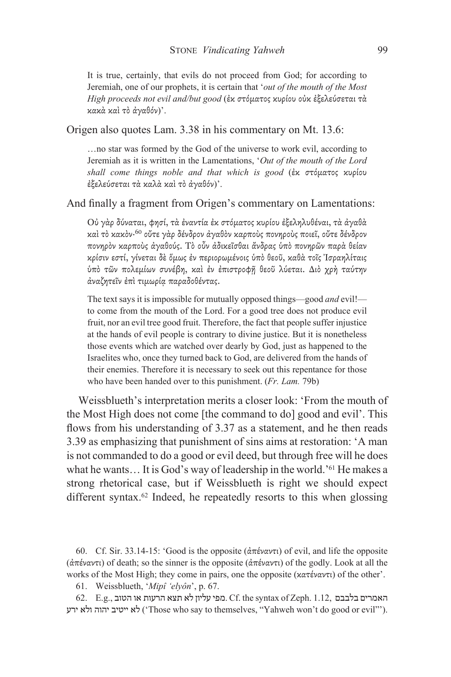It is true, certainly, that evils do not proceed from God; for according to Jeremiah, one of our prophets, it is certain that 'out of the mouth of the Most High proceeds not evil and/but good (έκ στόματος κυρίου ούκ έξελεύσεται τά κακά καὶ τὸ ἀγαθόν)'.

#### Origen also quotes Lam. 3.38 in his commentary on Mt. 13.6:

...no star was formed by the God of the universe to work evil, according to Jeremiah as it is written in the Lamentations, 'Out of the mouth of the Lord shall come things noble and that which is good (έκ στόματος κυρίου έξελεύσεται τα καλά και το άγαθόν)'.

And finally a fragment from Origen's commentary on Lamentations:

Ού γάρ δύναται, φησί, τα έναντία έκ στόματος κυρίου έξεληλυθέναι, τα άγαθα καί τὸ κακὸν·<sup>60</sup> οὔτε γὰρ δένδρον ἀγαθὸν καρποὺς πονηροὺς ποιεῖ, οὔτε δένδρον πονηρόν καρπούς άγαθούς. Τὸ οὖν ἀδικεῖσθαι ἄνδρας ὑπὸ πονηρῶν παρὰ θείαν κρίσιν εστί, γίνεται δε όμως έν περιορωμένοις ύπο θεοῦ, καθα τοῖς Ἰσραηλίταις ύπό τῶν πολεμίων συνέβη, και έν έπιστροφή θεοῦ λύεται. Διὸ χρή ταύτην άναζητεῖν ἐπὶ τιμωρία παραδοθέντας.

The text says it is impossible for mutually opposed things—good and evil! to come from the mouth of the Lord. For a good tree does not produce evil fruit, nor an evil tree good fruit. Therefore, the fact that people suffer injustice at the hands of evil people is contrary to divine justice. But it is nonetheless those events which are watched over dearly by God, just as happened to the Israelites who, once they turned back to God, are delivered from the hands of their enemies. Therefore it is necessary to seek out this repentance for those who have been handed over to this punishment. (Fr. Lam. 79b)

Weissblueth's interpretation merits a closer look: 'From the mouth of the Most High does not come [the command to do] good and evil'. This flows from his understanding of 3.37 as a statement, and he then reads 3.39 as emphasizing that punishment of sins aims at restoration: 'A man is not commanded to do a good or evil deed, but through free will he does what he wants... It is God's way of leadership in the world.<sup>'61</sup> He makes a strong rhetorical case, but if Weissblueth is right we should expect different syntax.<sup>62</sup> Indeed, he repeatedly resorts to this when glossing

60. Cf. Sir. 33.14-15: 'Good is the opposite  $(\hat{\alpha}\pi \hat{\epsilon} \nu \hat{\alpha} \nu \tau)$  of evil, and life the opposite (άπέναντι) of death; so the sinner is the opposite (άπέναντι) of the godly. Look at all the works of the Most High; they come in pairs, one the opposite  $(\kappa a \tau \epsilon \gamma \alpha \nu \tau)$  of the other'.

61. Weissblueth, 'Mipî 'elyôn', p. 67.

 $62.$  E.g., האמרים בלבבם Cf. the syntax of Zeph. 1.12, האמרים בלבבם לא ייטיב יהוה ולא ירע ('Those who say to themselves, "Yahweh won't do good or evil"').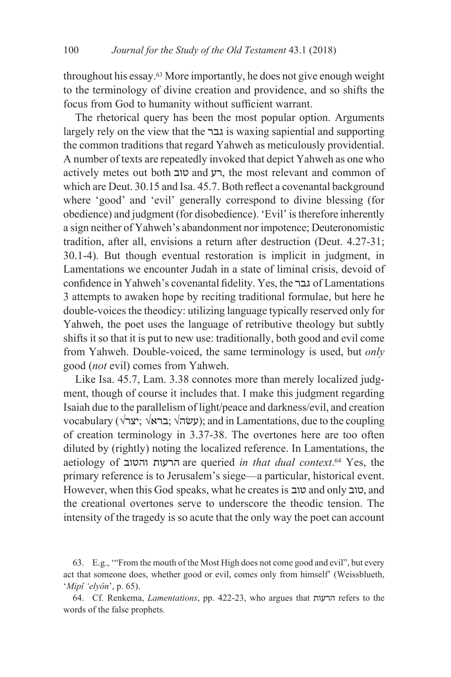throughout his essay.<sup>63</sup> More importantly, he does not give enough weight to the terminology of divine creation and providence, and so shifts the focus from God to humanity without sufficient warrant.

The rhetorical query has been the most popular option. Arguments largely rely on the view that the גבר is waxing sapiential and supporting the common traditions that regard Yahweh as meticulously providential. A number of texts are repeatedly invoked that depict Yahweh as one who actively metes out both רע and רע, the most relevant and common of which are Deut, 30.15 and Isa, 45.7. Both reflect a covenantal background where 'good' and 'evil' generally correspond to divine blessing (for obedience) and judgment (for disobedience). 'Evil' is therefore inherently a sign neither of Yahweh's abandonment nor impotence; Deuteronomistic tradition, after all, envisions a return after destruction (Deut. 4.27-31; 30.1-4). But though eventual restoration is implicit in judgment, in Lamentations we encounter Judah in a state of liminal crisis, devoid of confidence in Yahweh's covenantal fidelity. Yes, the גבר of Lamentations 3 attempts to awaken hope by reciting traditional formulae, but here he double-voices the theodicy: utilizing language typically reserved only for Yahweh, the poet uses the language of retributive theology but subtly shifts it so that it is put to new use: traditionally, both good and evil come from Yahweh. Double-voiced, the same terminology is used, but only good (not evil) comes from Yahweh.

Like Isa. 45.7, Lam. 3.38 connotes more than merely localized judgment, though of course it includes that. I make this judgment regarding Isaiah due to the parallelism of light/peace and darkness/evil, and creation vocabulary (עשׂה $\forall$ ; ברא $\forall$ , ברא $\forall$ ; ברא $\forall$ ); and in Lamentations, due to the coupling of creation terminology in 3.37-38. The overtones here are too often diluted by (rightly) noting the localized reference. In Lamentations, the aetiology of הרעות והטוב are queried in that dual context.<sup>64</sup> Yes, the primary reference is to Jerusalem's siege—a particular, historical event. However, when this God speaks, what he creates is טוב and only טוב, and the creational overtones serve to underscore the theodic tension. The intensity of the tragedy is so acute that the only way the poet can account

<sup>63.</sup> E.g., "From the mouth of the Most High does not come good and evil", but every act that someone does, whether good or evil, comes only from himself' (Weissblueth, 'Mipî 'elyôn', p. 65).

<sup>64.</sup> Cf. Renkema, Lamentations, pp. 422-23, who argues that הרעות refers to the words of the false prophets.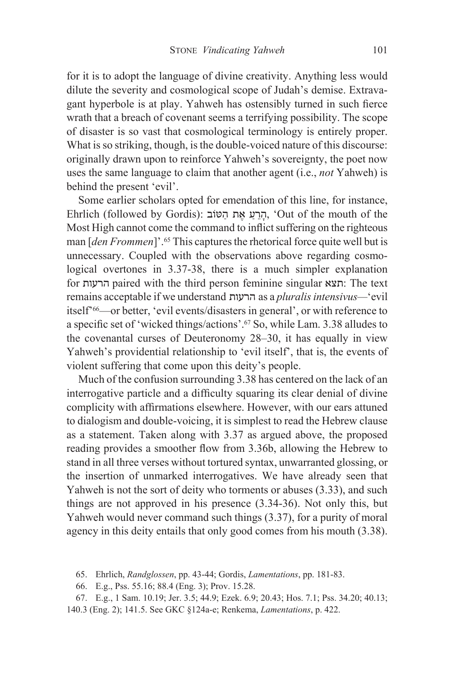for it is to adopt the language of divine creativity. Anything less would dilute the severity and cosmological scope of Judah's demise. Extravagant hyperbole is at play. Yahweh has ostensibly turned in such fierce wrath that a breach of covenant seems a terrifying possibility. The scope of disaster is so vast that cosmological terminology is entirely proper. What is so striking, though, is the double-voiced nature of this discourse: originally drawn upon to reinforce Yahweh's sovereignty, the poet now uses the same language to claim that another agent (i.e., *not* Yahweh) is behind the present 'evil'.

Some earlier scholars opted for emendation of this line, for instance, Ehrlich (followed by Gordis): הרע את הַטּוֹב, 'Out of the mouth of the Most High cannot come the command to inflict suffering on the righteous man [den Frommen]'.<sup>65</sup> This captures the rhetorical force quite well but is unnecessary. Coupled with the observations above regarding cosmological overtones in 3.37-38, there is a much simpler explanation for הרעות paired with the third person feminine singular הרעות paired with the third person feminine singular remains acceptable if we understand הרעות as a pluralis intensivus—'evil itself<sup>266</sup>—or better, 'evil events/disasters in general', or with reference to a specific set of 'wicked things/actions'.<sup>67</sup> So, while Lam. 3.38 alludes to the covenantal curses of Deuteronomy 28–30, it has equally in view Yahweh's providential relationship to 'evil itself', that is, the events of violent suffering that come upon this deity's people.

Much of the confusion surrounding 3.38 has centered on the lack of an interrogative particle and a difficulty squaring its clear denial of divine complicity with affirmations elsewhere. However, with our ears attuned to dialogism and double-voicing, it is simplest to read the Hebrew clause as a statement. Taken along with 3.37 as argued above, the proposed reading provides a smoother flow from 3.36b, allowing the Hebrew to stand in all three verses without tortured syntax, unwarranted glossing, or the insertion of unmarked interrogatives. We have already seen that Yahweh is not the sort of deity who torments or abuses (3.33), and such things are not approved in his presence  $(3.34-36)$ . Not only this, but Yahweh would never command such things  $(3.37)$ , for a purity of moral agency in this deity entails that only good comes from his mouth (3.38).

65. Ehrlich, Randglossen, pp. 43-44; Gordis, Lamentations, pp. 181-83.

66. E.g., Pss. 55.16; 88.4 (Eng. 3); Prov. 15.28.

67. E.g., 1 Sam. 10.19; Jer. 3.5; 44.9; Ezek. 6.9; 20.43; Hos. 7.1; Pss. 34.20; 40.13; 140.3 (Eng. 2); 141.5. See GKC §124a-e; Renkema, Lamentations, p. 422.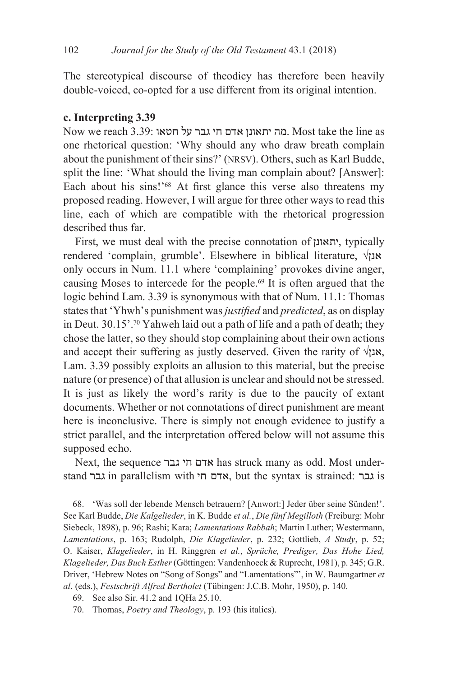The stereotypical discourse of theodicy has therefore been heavily double-voiced, co-opted for a use different from its original intention.

# c. Interpreting 3.39

Now we reach 3.39: מה יתאונן אדם חי גבר על חטאו. Most take the line as one rhetorical question: 'Why should any who draw breath complain about the punishment of their sins?' (NRSV). Others, such as Karl Budde, split the line: 'What should the living man complain about? [Answer]: Each about his sins!'<sup>68</sup> At first glance this verse also threatens my proposed reading. However, I will argue for three other ways to read this line, each of which are compatible with the rhetorical progression described thus far.

First, we must deal with the precise connotation of יתאונן, typically rendered 'complain, grumble'. Elsewhere in biblical literature,  $\sqrt{x}$ only occurs in Num. 11.1 where 'complaining' provokes divine anger, causing Moses to intercede for the people.<sup>69</sup> It is often argued that the logic behind Lam. 3.39 is synonymous with that of Num. 11.1: Thomas states that 'Yhwh's punishment was *justified* and *predicted*, as on display in Deut. 30.15'.<sup>70</sup> Yahweh laid out a path of life and a path of death; they chose the latter, so they should stop complaining about their own actions and accept their suffering as justly deserved. Given the rarity of  $\sqrt{2}$ , Lam. 3.39 possibly exploits an allusion to this material, but the precise nature (or presence) of that allusion is unclear and should not be stressed. It is just as likely the word's rarity is due to the paucity of extant documents. Whether or not connotations of direct punishment are meant here is inconclusive. There is simply not enough evidence to justify a strict parallel, and the interpretation offered below will not assume this supposed echo.

Next, the sequence אדם חי גבר has struck many as odd. Most understand גבר in parallelism with אדם חי, but the syntax is strained: גבר

68. 'Was soll der lebende Mensch betrauern? [Anwort:] Jeder über seine Sünden!'. See Karl Budde, Die Kalgelieder, in K. Budde et al., Die fünf Megilloth (Freiburg: Mohr Siebeck, 1898), p. 96; Rashi; Kara; Lamentations Rabbah; Martin Luther; Westermann, Lamentations, p. 163; Rudolph, Die Klagelieder, p. 232; Gottlieb, A Study, p. 52; O. Kaiser, Klagelieder, in H. Ringgren et al., Sprüche, Prediger, Das Hohe Lied, Klagelieder, Das Buch Esther (Göttingen: Vandenhoeck & Ruprecht, 1981), p. 345; G.R. Driver, 'Hebrew Notes on "Song of Songs" and "Lamentations"', in W. Baumgartner et al. (eds.), Festschrift Alfred Bertholet (Tübingen: J.C.B. Mohr, 1950), p. 140.

<sup>69.</sup> See also Sir. 41.2 and 1QHa 25.10.

<sup>70.</sup> Thomas, Poetry and Theology, p. 193 (his italics).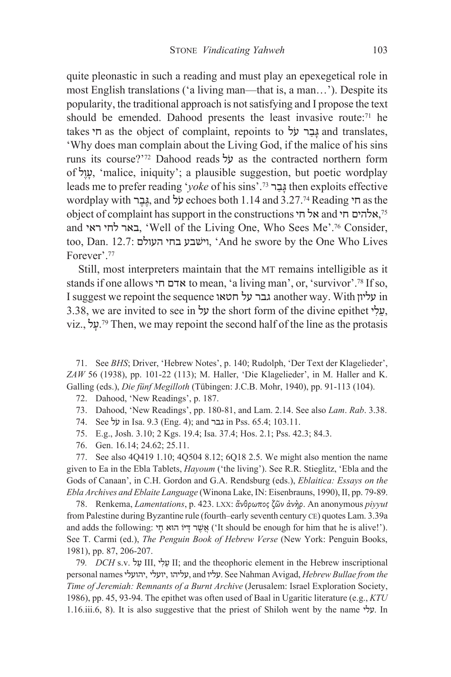quite pleonastic in such a reading and must play an epexegetical role in most English translations ('a living man—that is, a man...'). Despite its popularity, the traditional approach is not satisfying and I propose the text should be emended. Dahood presents the least invasive route:<sup>71</sup> he takes גַבָר על as the object of complaint, repoints to גַּבַר על and translates, 'Why does man complain about the Living God, if the malice of his sins runs its course?'<sup>72</sup> Dahood reads על as the contracted northern form of עֲוֹל, 'malice, iniquity'; a plausible suggestion, but poetic wordplay leads me to prefer reading 'voke of his sins'.<sup>73</sup> גבר then exploits effective wordplay with בֵּבֶר and  $\frac{1}{2}$  echoes both 1.14 and 3.27.<sup>74</sup> Reading הוא as the object of complaint has support in the constructions אל חי and אל הי and באר לחי ראי, 'Well of the Living One, Who Sees Me'.<sup>76</sup> Consider, too, Dan. 12.7: וישבע בחי העולם, 'And he swore by the One Who Lives Forever'.<sup>77</sup>

Still, most interpreters maintain that the MT remains intelligible as it stands if one allows אדם חי to mean, 'a living man', or, 'survivor'.<sup>78</sup> If so, I suggest we repoint the sequence גבר על חטאו another way. With עליון 3.38, we are invited to see in על the short form of the divine epithet . עלי viz., על. Then, we may repoint the second half of the line as the protasis

71. See BHS; Driver, 'Hebrew Notes', p. 140; Rudolph, 'Der Text der Klagelieder',  $ZAW$  56 (1938), pp. 101-22 (113); M. Haller, 'Die Klagelieder', in M. Haller and K. Galling (eds.), Die fünf Megilloth (Tübingen: J.C.B. Mohr, 1940), pp. 91-113 (104).

- 72. Dahood, 'New Readings', p. 187.
- 73. Dahood, 'New Readings', pp. 180-81, and Lam. 2.14. See also Lam. Rab. 3.38.
- 74. See על in Isa. 9.3 (Eng. 4); and גבר in Pss. 65.4; 103.11.
- 75. E.g., Josh. 3.10; 2 Kgs. 19.4; Isa. 37.4; Hos. 2.1; Pss. 42.3; 84.3.
- 76. Gen. 16.14; 24.62; 25.11.

77. See also 4Q419 1.10; 4Q504 8.12; 6Q18 2.5. We might also mention the name given to Ea in the Ebla Tablets, Hayoum ('the living'). See R.R. Stieglitz, 'Ebla and the Gods of Canaan', in C.H. Gordon and G.A. Rendsburg (eds.), Eblaitica: Essays on the Ebla Archives and Eblaite Language (Winona Lake, IN: Eisenbrauns, 1990), II, pp. 79-89.

78. Renkema, Lamentations, p. 423. LXX: ἄνθρωπος ζῶν ἀνὴρ. An anonymous piyyut from Palestine during Byzantine rule (fourth-early seventh century CE) quotes Lam. 3.39a and adds the following: אֲשֵׁר דָּיוֹ הוֹא חָי ('It should be enough for him that he is alive!'). See T. Carmi (ed.), The Penguin Book of Hebrew Verse (New York: Penguin Books, 1981), pp. 87, 206-207.

79. DCH s.v. עֵלִי, III, שֵׂלִי II; and the theophoric element in the Hebrew inscriptional personal names 'עליהו, יועלי, אהועלי, and עליהו, See Nahman Avigad, Hebrew Bullae from the Time of Jeremiah: Remnants of a Burnt Archive (Jerusalem: Israel Exploration Society, 1986), pp. 45, 93-94. The epithet was often used of Baal in Ugaritic literature (e.g., KTU 1.16.iii.6, 8). It is also suggestive that the priest of Shiloh went by the name  $\dot{y}$ . In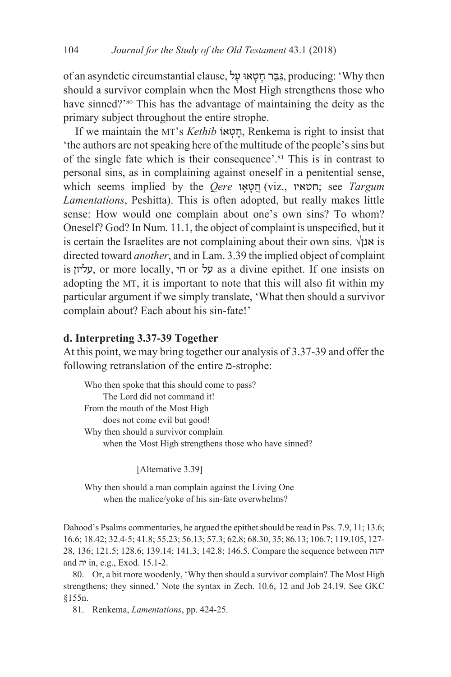of an asyndetic circumstantial clause, גַּבֵּר חַטָאוּ עַל, producing: 'Why then should a survivor complain when the Most High strengthens those who have sinned?'<sup>80</sup> This has the advantage of maintaining the deity as the primary subject throughout the entire strophe.

If we maintain the MT's *Kethib* וחטאו, Renkema is right to insist that the authors are not speaking here of the multitude of the people's sins but of the single fate which is their consequence'.<sup>81</sup> This is in contrast to personal sins, as in complaining against oneself in a penitential sense, which seems implied by the Oere הטאו (viz., הטאו; see Targum Lamentations, Peshitta). This is often adopted, but really makes little sense: How would one complain about one's own sins? To whom? Oneself? God? In Num. 11.1, the object of complaint is unspecified, but it is certain the Israelites are not complaining about their own sins.  $\sqrt{x}$  is directed toward *another*, and in Lam. 3.39 the implied object of complaint is y אליון, or more locally, א ס חי, as a divine epithet. If one insists on adopting the MT, it is important to note that this will also fit within my particular argument if we simply translate, 'What then should a survivor complain about? Each about his sin-fate!'

# d. Interpreting 3.37-39 Together

At this point, we may bring together our analysis of 3.37-39 and offer the following retranslation of the entire p-strophe:

Who then spoke that this should come to pass? The Lord did not command it! From the mouth of the Most High does not come evil but good! Why then should a survivor complain when the Most High strengthens those who have sinned?

[Alternative 3.39]

Why then should a man complain against the Living One when the malice/yoke of his sin-fate overwhelms?

Dahood's Psalms commentaries, he argued the epithet should be read in Pss. 7.9, 11; 13.6; 16.6; 18.42; 32.4-5; 41.8; 55.23; 56.13; 57.3; 62.8; 68.30, 35; 86.13; 106.7; 119.105, 127-28, 136; 121.5; 128.6; 139.14; 141.3; 142.8; 146.5. Compare the sequence between יהוה and יה in, e.g., Exod. 15.1-2.

80. Or, a bit more woodenly, 'Why then should a survivor complain? The Most High strengthens; they sinned.' Note the syntax in Zech. 10.6, 12 and Job 24.19. See GKC  $§155n.$ 

81. Renkema, Lamentations, pp. 424-25.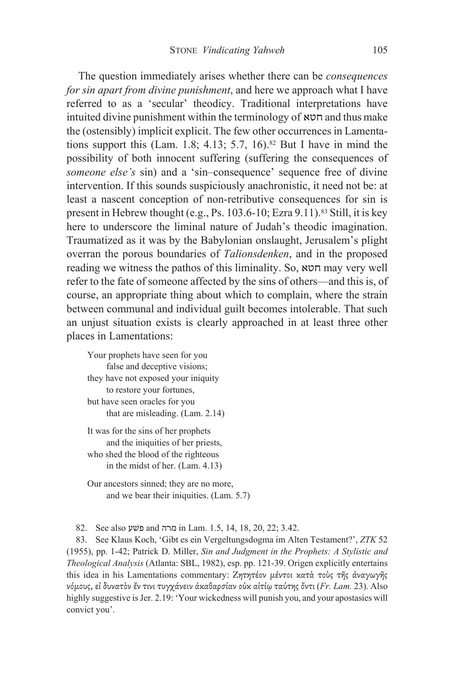The question immediately arises whether there can be *consequences* for sin apart from divine punishment, and here we approach what I have referred to as a 'secular' theodicy. Traditional interpretations have intuited divine punishment within the terminology of  $\kappa$ רוסא and thus make the (ostensibly) implicit explicit. The few other occurrences in Lamentations support this (Lam. 1.8; 4.13; 5.7, 16).<sup>82</sup> But I have in mind the possibility of both innocent suffering (suffering the consequences of someone else's sin) and a 'sin-consequence' sequence free of divine intervention. If this sounds suspiciously anachronistic, it need not be: at least a nascent conception of non-retributive consequences for sin is present in Hebrew thought (e.g., Ps. 103.6-10; Ezra 9.11).<sup>83</sup> Still, it is key here to underscore the liminal nature of Judah's theodic imagination. Traumatized as it was by the Babylonian onslaught, Jerusalem's plight overran the porous boundaries of *Talionsdenken*, and in the proposed reading we witness the pathos of this liminality. So, אות may very well refer to the fate of someone affected by the sins of others—and this is, of course, an appropriate thing about which to complain, where the strain between communal and individual guilt becomes intolerable. That such an unjust situation exists is clearly approached in at least three other places in Lamentations:

Your prophets have seen for you false and deceptive visions; they have not exposed your iniquity to restore your fortunes, but have seen oracles for you that are misleading. (Lam. 2.14)

- It was for the sins of her prophets and the iniquities of her priests, who shed the blood of the righteous in the midst of her. (Lam. 4.13)
- Our ancestors sinned; they are no more, and we bear their iniquities. (Lam. 5.7)

82. See also פֿשע and מרה in Lam. 1.5, 14, 18, 20, 22; 3.42.

83. See Klaus Koch, 'Gibt es ein Vergeltungsdogma im Alten Testament?', ZTK 52 (1955), pp. 1-42; Patrick D. Miller, Sin and Judgment in the Prophets: A Stylistic and Theological Analysis (Atlanta: SBL, 1982), esp. pp. 121-39. Origen explicitly entertains this idea in his Lamentations commentary: Ζητητέον μέντοι κατά τούς της άναγωγής νόμους, εί δυνατον έν τινι τυγχάνειν ακαθαρσίαν ούκ αίτίω ταύτης όντι (Fr. Lam. 23). Also highly suggestive is Jer. 2.19: 'Your wickedness will punish you, and your apostasies will convict you'.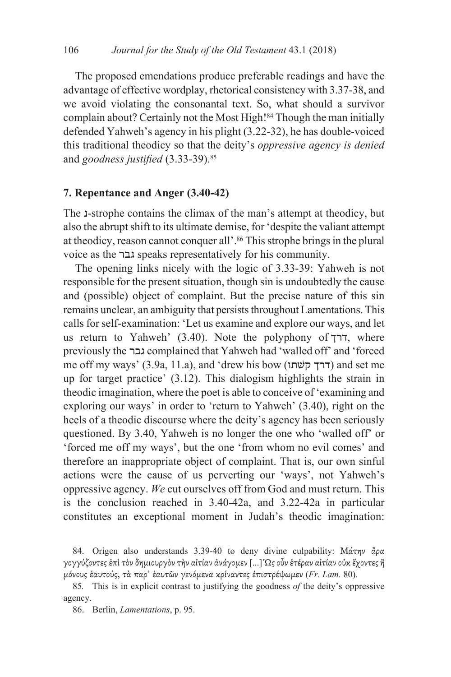The proposed emendations produce preferable readings and have the advantage of effective wordplay, rhetorical consistency with 3.37-38, and we avoid violating the consonantal text. So, what should a survivor complain about? Certainly not the Most High!<sup>84</sup> Though the man initially defended Yahweh's agency in his plight (3.22-32), he has double-voiced this traditional theodicy so that the deity's *oppressive agency is denied* and goodness justified (3.33-39).<sup>85</sup>

## 7. Repentance and Anger (3.40-42)

The 1-strophe contains the climax of the man's attempt at theodicy, but also the abrupt shift to its ultimate demise, for 'despite the valiant attempt at theodicy, reason cannot conquer all'.<sup>86</sup> This strophe brings in the plural voice as the גבר speaks representatively for his community.

The opening links nicely with the logic of 3.33-39: Yahweh is not responsible for the present situation, though sin is undoubtedly the cause and (possible) object of complaint. But the precise nature of this sin remains unclear, an ambiguity that persists throughout Lamentations. This calls for self-examination: 'Let us examine and explore our ways, and let us return to Yahweh' (3.40). Note the polyphony of  $\tau$ , where previously the גבר complained that Yahweh had 'walled off' and 'forced me off my ways' (3.9a, 11.a), and 'drew his bow (דרך קשׂתו) and set me up for target practice'  $(3.12)$ . This dialogism highlights the strain in theodic imagination, where the poet is able to conceive of 'examining and exploring our ways' in order to 'return to Yahweh' (3.40), right on the heels of a theodic discourse where the deity's agency has been seriously questioned. By 3.40, Yahweh is no longer the one who 'walled off' or 'forced me off my ways', but the one 'from whom no evil comes' and therefore an inappropriate object of complaint. That is, our own sinful actions were the cause of us perverting our 'ways', not Yahweh's oppressive agency. We cut ourselves off from God and must return. This is the conclusion reached in 3.40-42a, and 3.22-42a in particular constitutes an exceptional moment in Judah's theodic imagination:

<sup>84.</sup> Origen also understands 3.39-40 to deny divine culpability: Μάτην ἄρα γογγύζοντες ἐπὶ τὸν δημιουργὸν τὴν αἰτίαν ἀνάγομεν [...] Ώς οὖν ἑτέραν αἰτίαν οὐκ ἔχοντες ἢ μόνους έαυτούς, τα παρ' έαυτῶν γενόμενα κρίναντες έπιστρέψωμεν (Fr. Lam. 80).

<sup>85.</sup> This is in explicit contrast to justifying the goodness of the deity's oppressive agency.

<sup>86.</sup> Berlin, Lamentations, p. 95.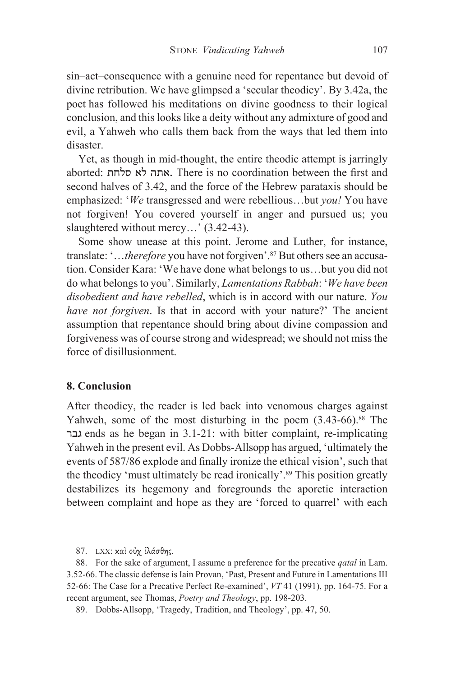sin–act–consequence with a genuine need for repentance but devoid of divine retribution. We have glimpsed a 'secular theodicy'. By 3.42a, the poet has followed his meditations on divine goodness to their logical conclusion, and this looks like a deity without any admixture of good and evil, a Yahweh who calls them back from the ways that led them into disaster

Yet, as though in mid-thought, the entire theodic attempt is jarringly aborted: אתה לא סלחת, There is no coordination between the first and second halves of 3.42, and the force of the Hebrew parataxis should be emphasized: 'We transgressed and were rebellious...but you! You have not forgiven! You covered yourself in anger and pursued us; you slaughtered without mercy...' (3.42-43).

Some show unease at this point. Jerome and Luther, for instance, translate: '...therefore you have not forgiven'.<sup>87</sup> But others see an accusation. Consider Kara: 'We have done what belongs to us...but you did not do what belongs to you'. Similarly, *Lamentations Rabbah: 'We have been* disobedient and have rebelled, which is in accord with our nature. You have not forgiven. Is that in accord with your nature?' The ancient assumption that repentance should bring about divine compassion and forgiveness was of course strong and widespread; we should not miss the force of disillusionment.

# 8. Conclusion

After theodicy, the reader is led back into venomous charges against Yahweh, some of the most disturbing in the poem (3.43-66).<sup>88</sup> The tends as he began in 3.1-21: with bitter complaint, re-implicating Yahweh in the present evil. As Dobbs-Allsopp has argued, 'ultimately the events of 587/86 explode and finally ironize the ethical vision', such that the theodicy 'must ultimately be read ironically'.<sup>89</sup> This position greatly destabilizes its hegemony and foregrounds the aporetic interaction between complaint and hope as they are 'forced to quarrel' with each

87. LXX: και ούχ ίλάσθης.

88. For the sake of argument, I assume a preference for the precative *qatal* in Lam. 3.52-66. The classic defense is Iain Provan, 'Past, Present and Future in Lamentations III 52-66: The Case for a Precative Perfect Re-examined', VT 41 (1991), pp. 164-75. For a recent argument, see Thomas, Poetry and Theology, pp. 198-203.

89. Dobbs-Allsopp, 'Tragedy, Tradition, and Theology', pp. 47, 50.